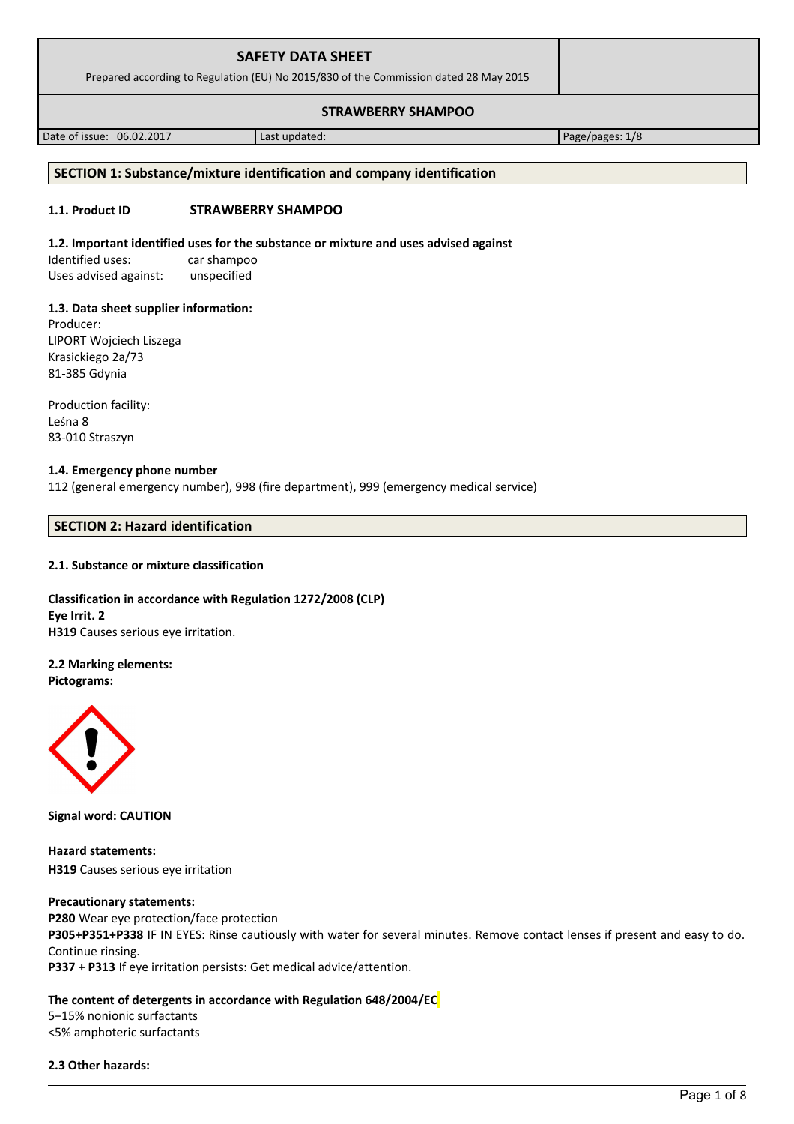| <b>SAFETY DATA SHEET</b><br>Prepared according to Regulation (EU) No 2015/830 of the Commission dated 28 May 2015 |               |                 |
|-------------------------------------------------------------------------------------------------------------------|---------------|-----------------|
|                                                                                                                   |               |                 |
| Date of issue: 06.02.2017                                                                                         | Last updated: | Page/pages: 1/8 |

# **SECTION 1: Substance/mixture identification and company identification**

# **1.1. Product ID STRAWBERRY SHAMPOO**

# **1.2. Important identified uses for the substance or mixture and uses advised against**

Identified uses: car shampoo Uses advised against: unspecified

# **1.3. Data sheet supplier information:**

Producer: LIPORT Wojciech Liszega Krasickiego 2a/73 81-385 Gdynia

Production facility: Leśna 8 83-010 Straszyn

## **1.4. Emergency phone number**

112 (general emergency number), 998 (fire department), 999 (emergency medical service)

# **SECTION 2: Hazard identification**

# **2.1. Substance or mixture classification**

**Classification in accordance with Regulation 1272/2008 (CLP) Eye Irrit. 2 H319** Causes serious eye irritation.

# **2.2 Marking elements:**

**Pictograms:**



**Signal word: CAUTION**

**Hazard statements: H319** Causes serious eye irritation

# **Precautionary statements:**

**P280** Wear eye protection/face protection **P305+P351+P338** IF IN EYES: Rinse cautiously with water for several minutes. Remove contact lenses if present and easy to do. Continue rinsing. **P337 + P313** If eye irritation persists: Get medical advice/attention.

# **The content of detergents in accordance with Regulation 648/2004/EC**

5–15% nonionic surfactants <5% amphoteric surfactants

# **2.3 Other hazards:**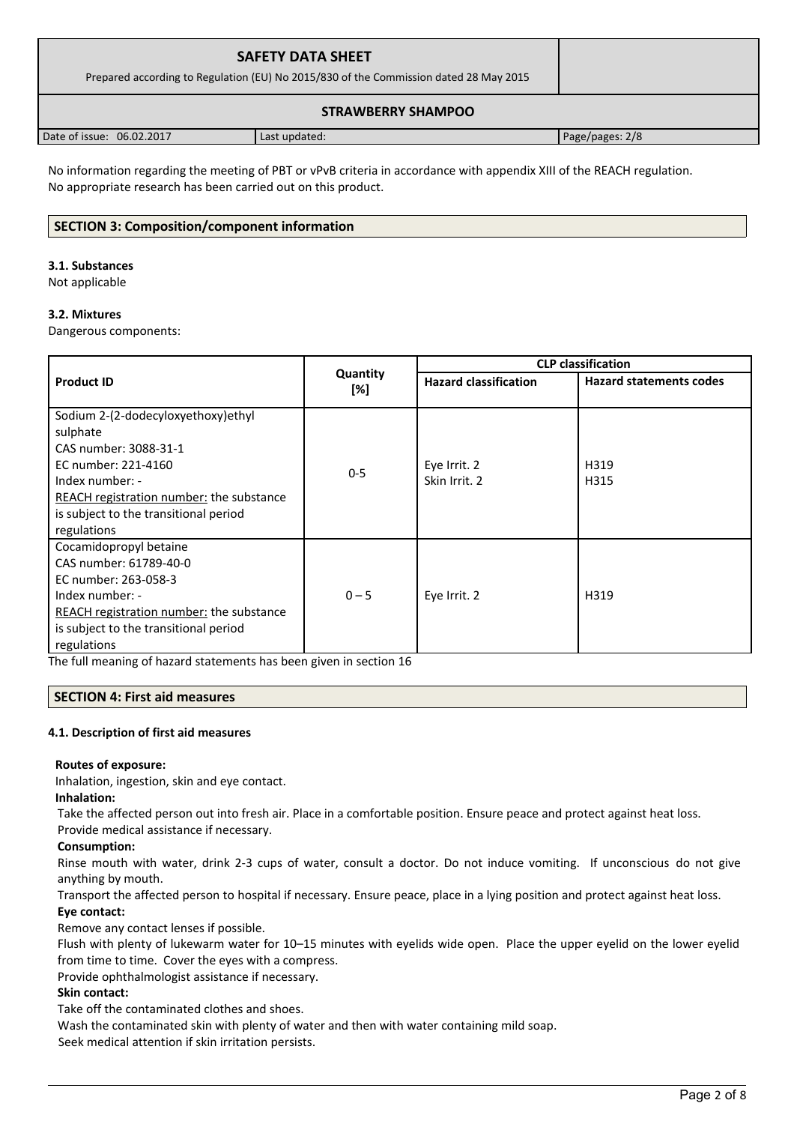| <b>SAFETY DATA SHEET</b><br>Prepared according to Regulation (EU) No 2015/830 of the Commission dated 28 May 2015 |               |                 |
|-------------------------------------------------------------------------------------------------------------------|---------------|-----------------|
|                                                                                                                   |               |                 |
| Date of issue: 06.02.2017                                                                                         | Last updated: | Page/pages: 2/8 |

No information regarding the meeting of PBT or vPvB criteria in accordance with appendix XIII of the REACH regulation. No appropriate research has been carried out on this product.

## **SECTION 3: Composition/component information**

#### **3.1. Substances**

Not applicable

#### **3.2. Mixtures**

Dangerous components:

|                                                 |                 | <b>CLP classification</b>    |                                |  |
|-------------------------------------------------|-----------------|------------------------------|--------------------------------|--|
| <b>Product ID</b>                               | Quantity<br>[%] | <b>Hazard classification</b> | <b>Hazard statements codes</b> |  |
| Sodium 2-(2-dodecyloxyethoxy)ethyl              |                 |                              |                                |  |
| sulphate                                        |                 |                              |                                |  |
| CAS number: 3088-31-1                           |                 |                              |                                |  |
| EC number: 221-4160                             | $0 - 5$         | Eye Irrit. 2                 | H319                           |  |
| Index number: -                                 |                 | Skin Irrit. 2                | H315                           |  |
| REACH registration number: the substance        |                 |                              |                                |  |
| is subject to the transitional period           |                 |                              |                                |  |
| regulations                                     |                 |                              |                                |  |
| Cocamidopropyl betaine                          |                 |                              |                                |  |
| CAS number: 61789-40-0                          |                 |                              |                                |  |
| EC number: 263-058-3                            |                 |                              |                                |  |
| Index number: -                                 | $0 - 5$         | Eye Irrit. 2                 | H319                           |  |
| <b>REACH registration number:</b> the substance |                 |                              |                                |  |
| is subject to the transitional period           |                 |                              |                                |  |
| regulations                                     |                 |                              |                                |  |

The full meaning of hazard statements has been given in section 16

#### **SECTION 4: First aid measures**

#### **4.1. Description of first aid measures**

#### **Routes of exposure:**

Inhalation, ingestion, skin and eye contact.

#### **Inhalation:**

Take the affected person out into fresh air. Place in a comfortable position. Ensure peace and protect against heat loss.

Provide medical assistance if necessary.

#### **Consumption:**

Rinse mouth with water, drink 2-3 cups of water, consult a doctor. Do not induce vomiting. If unconscious do not give anything by mouth.

Transport the affected person to hospital if necessary. Ensure peace, place in a lying position and protect against heat loss. **Eye contact:**

Remove any contact lenses if possible.

Flush with plenty of lukewarm water for 10–15 minutes with eyelids wide open. Place the upper eyelid on the lower eyelid from time to time. Cover the eyes with a compress.

Provide ophthalmologist assistance if necessary.

#### **Skin contact:**

Take off the contaminated clothes and shoes.

Wash the contaminated skin with plenty of water and then with water containing mild soap.

Seek medical attention if skin irritation persists.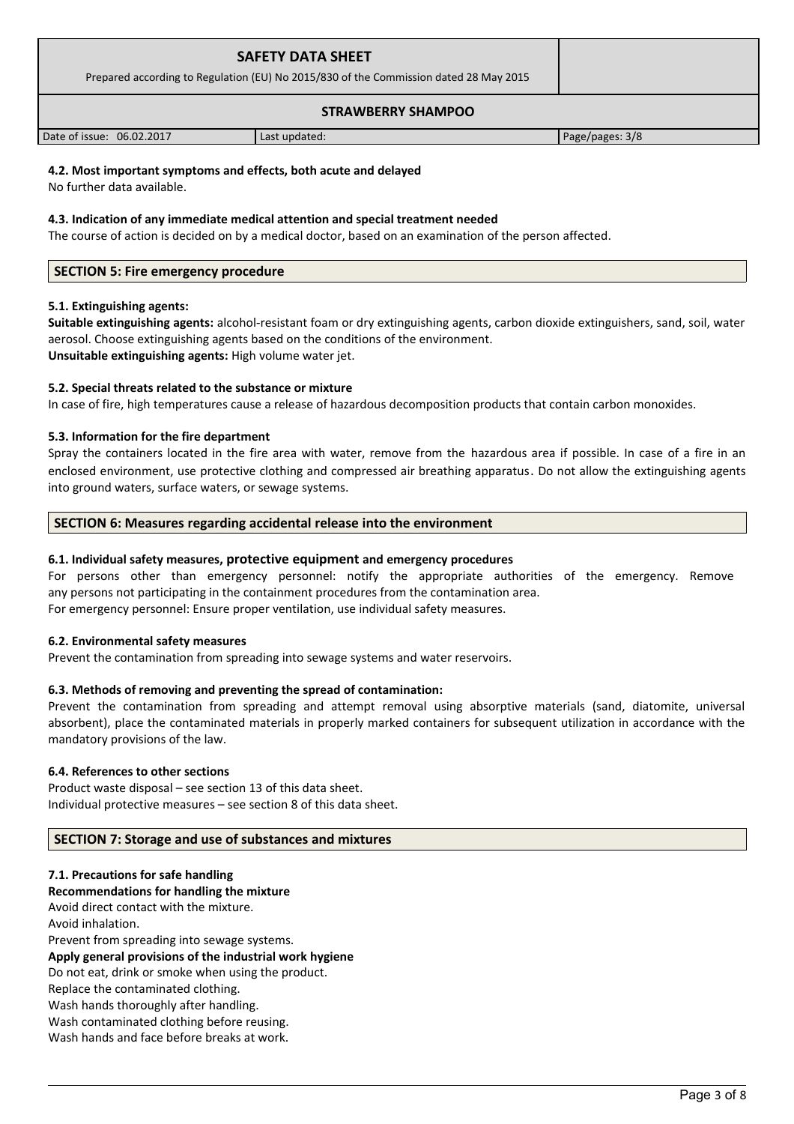| <b>SAFETY DATA SHEET</b><br>Prepared according to Regulation (EU) No 2015/830 of the Commission dated 28 May 2015 |               |                 |
|-------------------------------------------------------------------------------------------------------------------|---------------|-----------------|
|                                                                                                                   |               |                 |
| Date of issue: 06.02.2017                                                                                         | Last updated: | Page/pages: 3/8 |

## **4.2. Most important symptoms and effects, both acute and delayed**

No further data available.

#### **4.3. Indication of any immediate medical attention and special treatment needed**

The course of action is decided on by a medical doctor, based on an examination of the person affected.

#### **SECTION 5: Fire emergency procedure**

#### **5.1. Extinguishing agents:**

**Suitable extinguishing agents:** alcohol-resistant foam or dry extinguishing agents, carbon dioxide extinguishers, sand, soil, water aerosol. Choose extinguishing agents based on the conditions of the environment. **Unsuitable extinguishing agents:** High volume water jet.

#### **5.2. Special threats related to the substance or mixture**

In case of fire, high temperatures cause a release of hazardous decomposition products that contain carbon monoxides.

#### **5.3. Information for the fire department**

Spray the containers located in the fire area with water, remove from the hazardous area if possible. In case of a fire in an enclosed environment, use protective clothing and compressed air breathing apparatus. Do not allow the extinguishing agents into ground waters, surface waters, or sewage systems.

#### **SECTION 6: Measures regarding accidental release into the environment**

#### **6.1. Individual safety measures, protective equipment and emergency procedures**

For persons other than emergency personnel: notify the appropriate authorities of the emergency. Remove any persons not participating in the containment procedures from the contamination area. For emergency personnel: Ensure proper ventilation, use individual safety measures.

#### **6.2. Environmental safety measures**

Prevent the contamination from spreading into sewage systems and water reservoirs.

#### **6.3. Methods of removing and preventing the spread of contamination:**

Prevent the contamination from spreading and attempt removal using absorptive materials (sand, diatomite, universal absorbent), place the contaminated materials in properly marked containers for subsequent utilization in accordance with the mandatory provisions of the law.

#### **6.4. References to other sections**

Product waste disposal – see section 13 of this data sheet. Individual protective measures – see section 8 of this data sheet.

#### **SECTION 7: Storage and use of substances and mixtures**

#### **7.1. Precautions for safe handling**

**Recommendations for handling the mixture** 

Avoid direct contact with the mixture. Avoid inhalation. Prevent from spreading into sewage systems. **Apply general provisions of the industrial work hygiene**  Do not eat, drink or smoke when using the product. Replace the contaminated clothing. Wash hands thoroughly after handling. Wash contaminated clothing before reusing. Wash hands and face before breaks at work.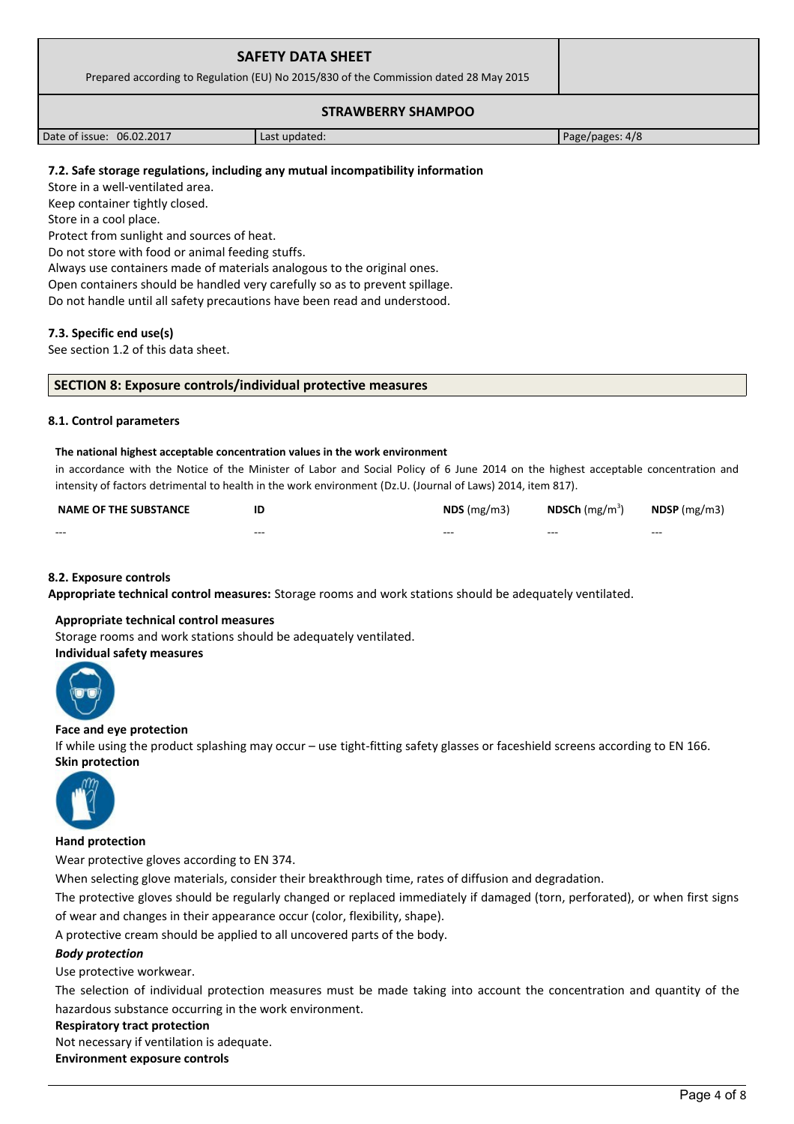| <b>SAFETY DATA SHEET</b><br>Prepared according to Regulation (EU) No 2015/830 of the Commission dated 28 May 2015 |               |                 |
|-------------------------------------------------------------------------------------------------------------------|---------------|-----------------|
|                                                                                                                   |               |                 |
|                                                                                                                   |               |                 |
| Date of issue: 06.02.2017                                                                                         | Last updated: | Page/pages: 4/8 |

## **7.2. Safe storage regulations, including any mutual incompatibility information**

Store in a well-ventilated area.

Keep container tightly closed.

Store in a cool place.

Protect from sunlight and sources of heat.

Do not store with food or animal feeding stuffs.

Always use containers made of materials analogous to the original ones.

Open containers should be handled very carefully so as to prevent spillage.

Do not handle until all safety precautions have been read and understood.

#### **7.3. Specific end use(s)**

See section 1.2 of this data sheet.

#### **SECTION 8: Exposure controls/individual protective measures**

#### **8.1. Control parameters**

#### **The national highest acceptable concentration values in the work environment**

in accordance with the Notice of the Minister of Labor and Social Policy of 6 June 2014 on the highest acceptable concentration and intensity of factors detrimental to health in the work environment (Dz.U. (Journal of Laws) 2014, item 817).

| <b>NAME OF THE SUBSTANCE</b> | ΙE      | $NDS$ (mg/m3) | <b>NDSCh</b> (mg/m <sup>3</sup> ) | $N$ DSP (mg/m3) |
|------------------------------|---------|---------------|-----------------------------------|-----------------|
| $- - -$                      | $- - -$ | $- - -$       | $- - -$                           | $- - -$         |

#### **8.2. Exposure controls**

**Appropriate technical control measures:** Storage rooms and work stations should be adequately ventilated.

#### **Appropriate technical control measures**

Storage rooms and work stations should be adequately ventilated.

#### **Individual safety measures**



#### **Face and eye protection**

If while using the product splashing may occur – use tight-fitting safety glasses or faceshield screens according to EN 166. **Skin protection** 



#### **Hand protection**

Wear protective gloves according to EN 374.

When selecting glove materials, consider their breakthrough time, rates of diffusion and degradation.

The protective gloves should be regularly changed or replaced immediately if damaged (torn, perforated), or when first signs of wear and changes in their appearance occur (color, flexibility, shape).

A protective cream should be applied to all uncovered parts of the body.

#### *Body protection*

Use protective workwear.

The selection of individual protection measures must be made taking into account the concentration and quantity of the hazardous substance occurring in the work environment.

#### **Respiratory tract protection**

Not necessary if ventilation is adequate.

**Environment exposure controls**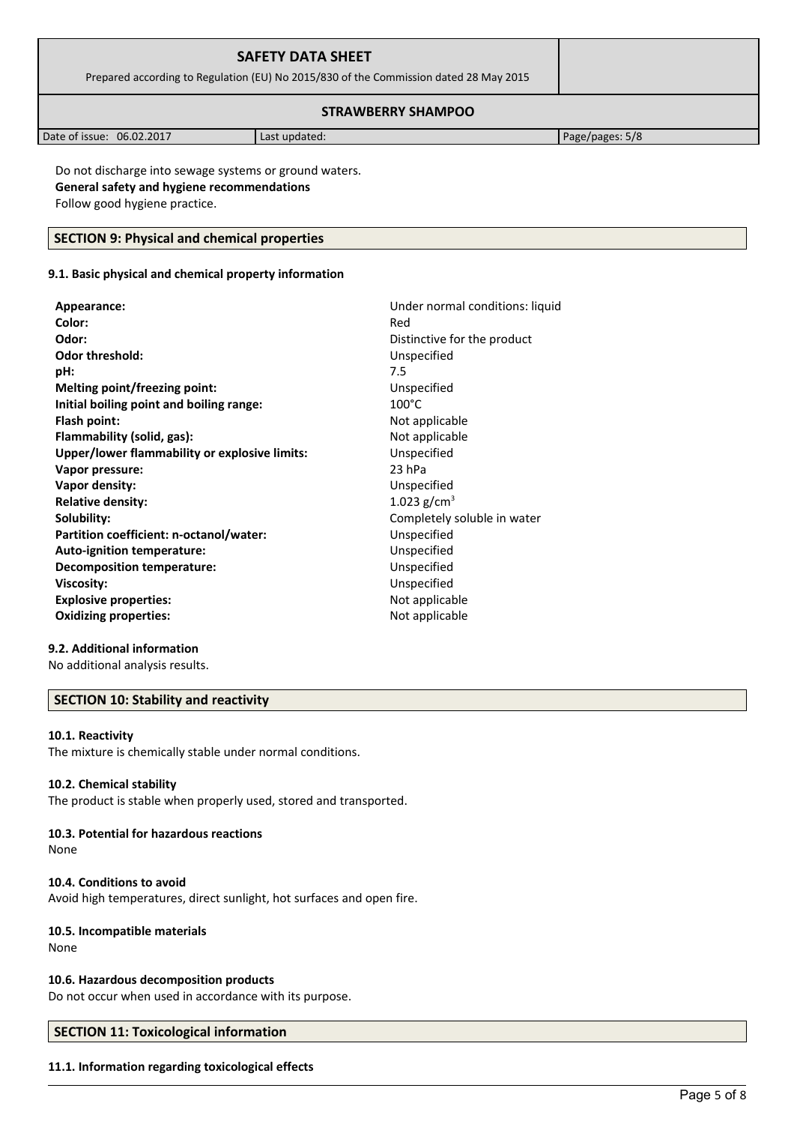| <b>SAFETY DATA SHEET</b><br>Prepared according to Regulation (EU) No 2015/830 of the Commission dated 28 May 2015 |               |                 |
|-------------------------------------------------------------------------------------------------------------------|---------------|-----------------|
| <b>STRAWBERRY SHAMPOO</b>                                                                                         |               |                 |
| Date of issue: 06.02.2017                                                                                         | Last updated: | Page/pages: 5/8 |

Do not discharge into sewage systems or ground waters. **General safety and hygiene recommendations** Follow good hygiene practice.

### **SECTION 9: Physical and chemical properties**

## **9.1. Basic physical and chemical property information**

| Appearance:                                   | Under normal conditions: liquid |
|-----------------------------------------------|---------------------------------|
| Color:                                        | Red                             |
| Odor:                                         | Distinctive for the product     |
| <b>Odor threshold:</b>                        | Unspecified                     |
| pH:                                           | 7.5                             |
| Melting point/freezing point:                 | Unspecified                     |
| Initial boiling point and boiling range:      | $100^{\circ}$ C                 |
| Flash point:                                  | Not applicable                  |
| Flammability (solid, gas):                    | Not applicable                  |
| Upper/lower flammability or explosive limits: | Unspecified                     |
| Vapor pressure:                               | 23 hPa                          |
| Vapor density:                                | Unspecified                     |
| <b>Relative density:</b>                      | 1.023 $g/cm^{3}$                |
| Solubility:                                   | Completely soluble in water     |
| Partition coefficient: n-octanol/water:       | Unspecified                     |
| Auto-ignition temperature:                    | Unspecified                     |
| Decomposition temperature:                    | Unspecified                     |
| <b>Viscosity:</b>                             | Unspecified                     |
| <b>Explosive properties:</b>                  | Not applicable                  |
| <b>Oxidizing properties:</b>                  | Not applicable                  |
|                                               |                                 |

## **9.2. Additional information**

No additional analysis results.

## **SECTION 10: Stability and reactivity**

#### **10.1. Reactivity**

The mixture is chemically stable under normal conditions.

#### **10.2. Chemical stability**

The product is stable when properly used, stored and transported.

# **10.3. Potential for hazardous reactions**

None

#### **10.4. Conditions to avoid**

Avoid high temperatures, direct sunlight, hot surfaces and open fire.

#### **10.5. Incompatible materials**

None

#### **10.6. Hazardous decomposition products**

Do not occur when used in accordance with its purpose.

### **SECTION 11: Toxicological information**

#### **11.1. Information regarding toxicological effects**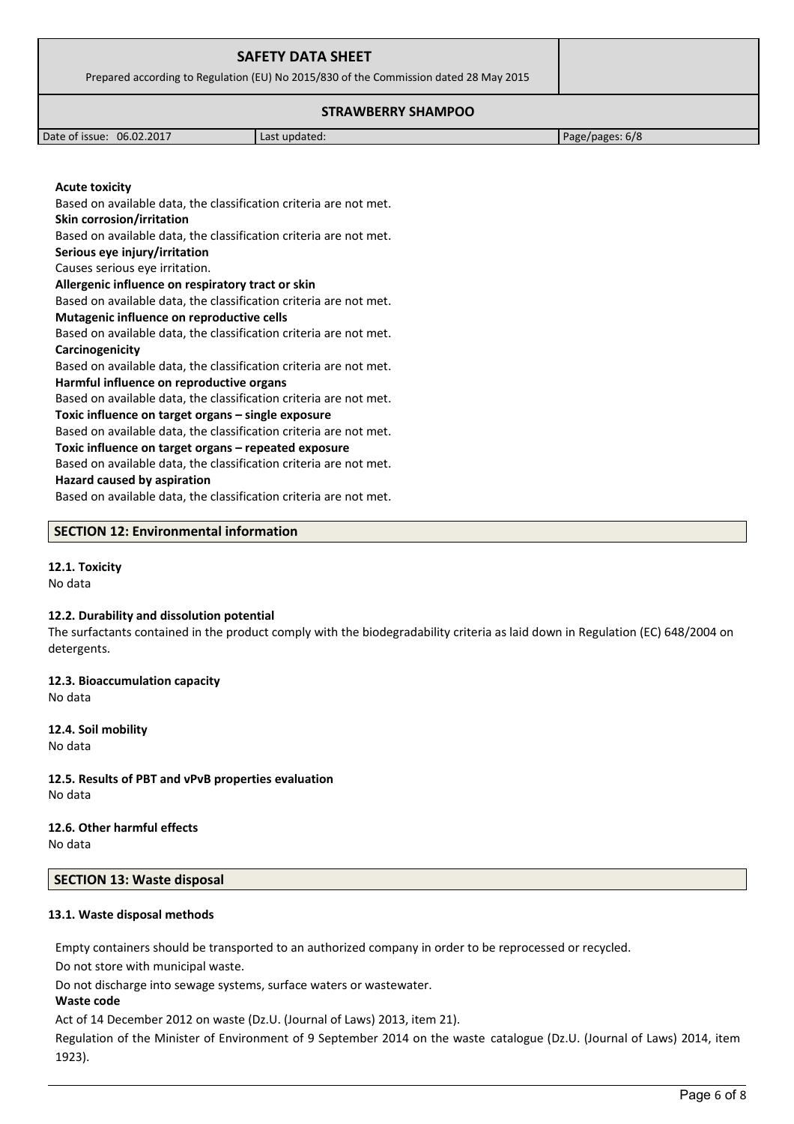| <b>SAFETY DATA SHEET</b><br>Prepared according to Regulation (EU) No 2015/830 of the Commission dated 28 May 2015 |               |                 |
|-------------------------------------------------------------------------------------------------------------------|---------------|-----------------|
| <b>STRAWBERRY SHAMPOO</b>                                                                                         |               |                 |
| Date of issue: 06.02.2017                                                                                         | Last updated: | Page/pages: 6/8 |

Based on available data, the classification criteria are not met.

**Skin corrosion/irritation**

**Acute toxicity**

**Serious eye injury/irritation**

Causes serious eye irritation.

**Allergenic influence on respiratory tract or skin**

Based on available data, the classification criteria are not met. **Mutagenic influence on reproductive cells**

Based on available data, the classification criteria are not met.

Based on available data, the classification criteria are not met. **Carcinogenicity**

Based on available data, the classification criteria are not met. **Harmful influence on reproductive organs**

Based on available data, the classification criteria are not met.

**Toxic influence on target organs – single exposure**

Based on available data, the classification criteria are not met.

**Toxic influence on target organs – repeated exposure**

Based on available data, the classification criteria are not met.

#### **Hazard caused by aspiration**

Based on available data, the classification criteria are not met.

#### **SECTION 12: Environmental information**

## **12.1. Toxicity**

No data

#### **12.2. Durability and dissolution potential**

The surfactants contained in the product comply with the biodegradability criteria as laid down in Regulation (EC) 648/2004 on detergents.

**12.3. Bioaccumulation capacity** No data

**12.4. Soil mobility** No data

**12.5. Results of PBT and vPvB properties evaluation** No data

**12.6. Other harmful effects** No data

## **SECTION 13: Waste disposal**

#### **13.1. Waste disposal methods**

Empty containers should be transported to an authorized company in order to be reprocessed or recycled.

Do not store with municipal waste.

Do not discharge into sewage systems, surface waters or wastewater.

#### **Waste code**

Act of 14 December 2012 on waste (Dz.U. (Journal of Laws) 2013, item 21).

Regulation of the Minister of Environment of 9 September 2014 on the waste catalogue (Dz.U. (Journal of Laws) 2014, item 1923).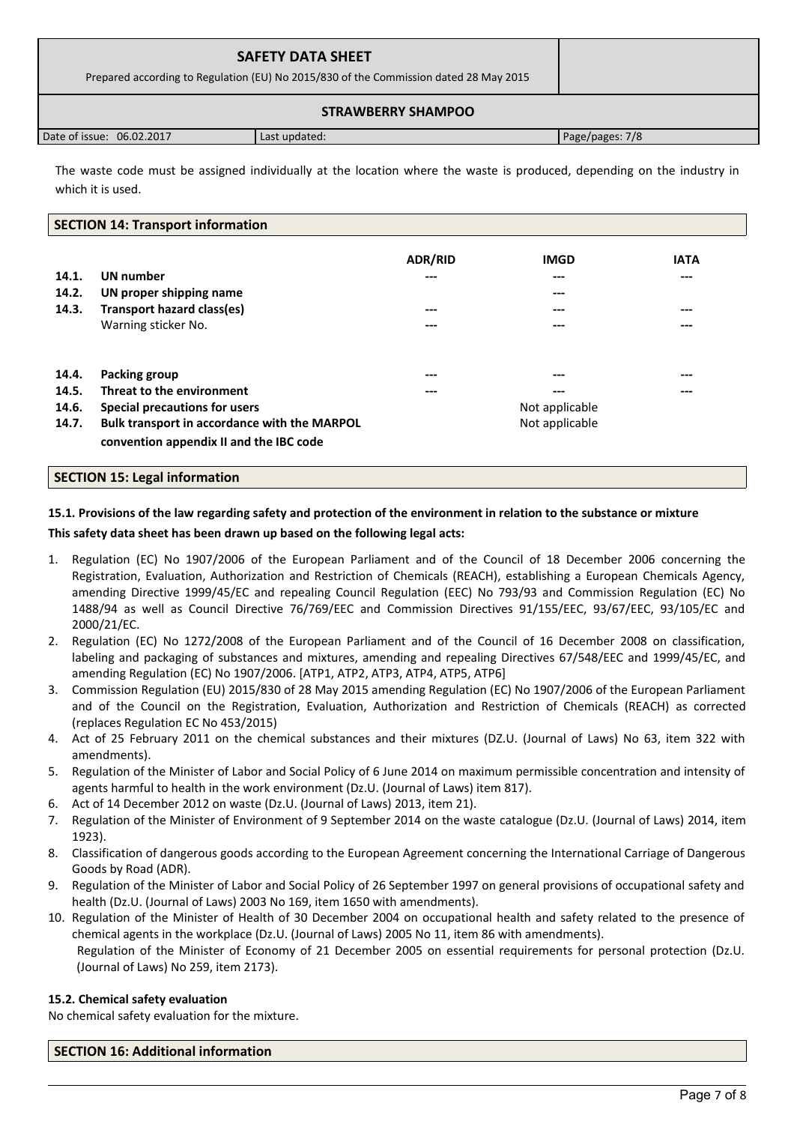| <b>SAFETY DATA SHEET</b><br>Prepared according to Regulation (EU) No 2015/830 of the Commission dated 28 May 2015 |               |                 |
|-------------------------------------------------------------------------------------------------------------------|---------------|-----------------|
|                                                                                                                   |               |                 |
| Date of issue: 06.02.2017                                                                                         | Last updated: | Page/pages: 7/8 |

The waste code must be assigned individually at the location where the waste is produced, depending on the industry in which it is used.

#### **SECTION 14: Transport information**

| 14.1.<br>14.2.<br>14.3. | <b>UN</b> number<br>UN proper shipping name<br>Transport hazard class(es)<br>Warning sticker No. | <b>ADR/RID</b><br>$---$<br>$- - -$<br>$---$ | <b>IMGD</b><br>---<br>---<br>---<br>--- | <b>IATA</b><br>$---$<br>---<br>$---$ |
|-------------------------|--------------------------------------------------------------------------------------------------|---------------------------------------------|-----------------------------------------|--------------------------------------|
| 14.4.                   | Packing group                                                                                    | $- - -$                                     | ---                                     | $---$                                |
| 14.5.                   | Threat to the environment                                                                        | ---                                         | ---                                     | ---                                  |
| 14.6.                   | Special precautions for users                                                                    |                                             | Not applicable                          |                                      |
| 14.7.                   | Bulk transport in accordance with the MARPOL<br>convention appendix II and the IBC code          |                                             | Not applicable                          |                                      |

#### **SECTION 15: Legal information**

## **15.1. Provisions of the law regarding safety and protection of the environment in relation to the substance or mixture This safety data sheet has been drawn up based on the following legal acts:**

- 1. Regulation (EC) No 1907/2006 of the European Parliament and of the Council of 18 December 2006 concerning the Registration, Evaluation, Authorization and Restriction of Chemicals (REACH), establishing a European Chemicals Agency, amending Directive 1999/45/EC and repealing Council Regulation (EEC) No 793/93 and Commission Regulation (EC) No 1488/94 as well as Council Directive 76/769/EEC and Commission Directives 91/155/EEC, 93/67/EEC, 93/105/EC and 2000/21/EC.
- 2. Regulation (EC) No 1272/2008 of the European Parliament and of the Council of 16 December 2008 on classification, labeling and packaging of substances and mixtures, amending and repealing Directives 67/548/EEC and 1999/45/EC, and amending Regulation (EC) No 1907/2006. [ATP1, ATP2, ATP3, ATP4, ATP5, ATP6]
- 3. Commission Regulation (EU) 2015/830 of 28 May 2015 amending Regulation (EC) No 1907/2006 of the European Parliament and of the Council on the Registration, Evaluation, Authorization and Restriction of Chemicals (REACH) as corrected (replaces Regulation EC No 453/2015)
- 4. Act of 25 February 2011 on the chemical substances and their mixtures (DZ.U. (Journal of Laws) No 63, item 322 with amendments).
- 5. Regulation of the Minister of Labor and Social Policy of 6 June 2014 on maximum permissible concentration and intensity of agents harmful to health in the work environment (Dz.U. (Journal of Laws) item 817).
- 6. Act of 14 December 2012 on waste (Dz.U. (Journal of Laws) 2013, item 21).
- 7. Regulation of the Minister of Environment of 9 September 2014 on the waste catalogue (Dz.U. (Journal of Laws) 2014, item 1923).
- 8. Classification of dangerous goods according to the European Agreement concerning the International Carriage of Dangerous Goods by Road (ADR).
- 9. Regulation of the Minister of Labor and Social Policy of 26 September 1997 on general provisions of occupational safety and health (Dz.U. (Journal of Laws) 2003 No 169, item 1650 with amendments).
- 10. Regulation of the Minister of Health of 30 December 2004 on occupational health and safety related to the presence of chemical agents in the workplace (Dz.U. (Journal of Laws) 2005 No 11, item 86 with amendments). Regulation of the Minister of Economy of 21 December 2005 on essential requirements for personal protection (Dz.U. (Journal of Laws) No 259, item 2173).

#### **15.2. Chemical safety evaluation**

No chemical safety evaluation for the mixture.

**SECTION 16: Additional information**